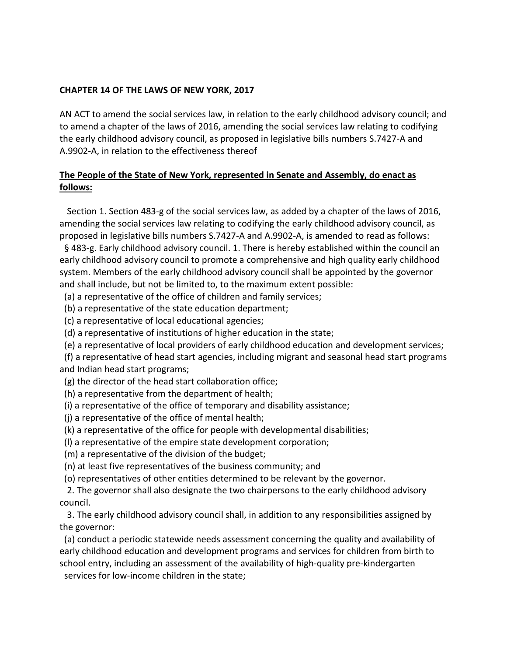## **CHAPTER 14 OF THE LAWS OF NEW YORK, 2017**

AN ACT to amend the social services law, in relation to the early childhood advisory council; and to amend a chapter of the laws of 2016, amending the social services law relating to codifying the early childhood advisory council, as proposed in legislative bills numbers S.7427-A and A.9902-A, in relation to the effectiveness thereof

## **The People of the State of New York, represented in Senate and Assembly, do enact as follows:**

Section 1. Section 483-g of the social services law, as added by a chapter of the laws of 2016, amending the social services law relating to codifying the early childhood advisory council, as proposed in legislative bills numbers S.7427-A and A.9902-A, is amended to read as follows:

 § 483-g. Early childhood advisory council. 1. There is hereby established within the council an early childhood advisory council to promote a comprehensive and high quality early childhood system. Members of the early childhood advisory council shall be appointed by the governor and shal**l** include, but not be limited to, to the maximum extent possible:

(a) a representative of the office of children and family services;

(b) a representative of the state education department;

(c) a representative of local educational agencies;

(d) a representative of institutions of higher education in the state;

(e) a representative of local providers of early childhood education and development services;

 (f) a representative of head start agencies, including migrant and seasonal head start programs and Indian head start programs;

(g) the director of the head start collaboration office;

(h) a representative from the department of health;

(i) a representative of the office of temporary and disability assistance;

(j) a representative of the office of mental health;

(k) a representative of the office for people with developmental disabilities;

(l) a representative of the empire state development corporation;

(m) a representative of the division of the budget;

(n) at least five representatives of the business community; and

(o) representatives of other entities determined to be relevant by the governor.

2. The governor shall also designate the two chairpersons to the early childhood advisory council.

3. The early childhood advisory council shall, in addition to any responsibilities assigned by the governor:

 (a) conduct a periodic statewide needs assessment concerning the quality and availability of early childhood education and development programs and services for children from birth to school entry, including an assessment of the availability of high-quality pre-kindergarten services for low-income children in the state;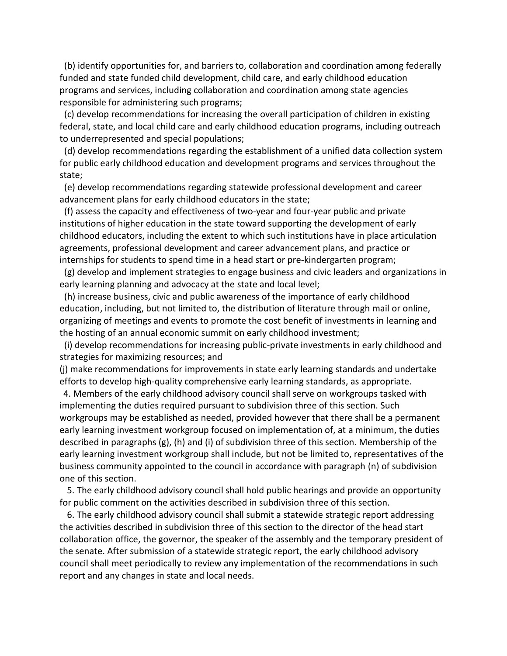(b) identify opportunities for, and barriers to, collaboration and coordination among federally funded and state funded child development, child care, and early childhood education programs and services, including collaboration and coordination among state agencies responsible for administering such programs;

 (c) develop recommendations for increasing the overall participation of children in existing federal, state, and local child care and early childhood education programs, including outreach to underrepresented and special populations;

 (d) develop recommendations regarding the establishment of a unified data collection system for public early childhood education and development programs and services throughout the state;

 (e) develop recommendations regarding statewide professional development and career advancement plans for early childhood educators in the state;

 (f) assess the capacity and effectiveness of two-year and four-year public and private institutions of higher education in the state toward supporting the development of early childhood educators, including the extent to which such institutions have in place articulation agreements, professional development and career advancement plans, and practice or internships for students to spend time in a head start or pre-kindergarten program;

 (g) develop and implement strategies to engage business and civic leaders and organizations in early learning planning and advocacy at the state and local level;

 (h) increase business, civic and public awareness of the importance of early childhood education, including, but not limited to, the distribution of literature through mail or online, organizing of meetings and events to promote the cost benefit of investments in learning and the hosting of an annual economic summit on early childhood investment;

 (i) develop recommendations for increasing public-private investments in early childhood and strategies for maximizing resources; and

(j) make recommendations for improvements in state early learning standards and undertake efforts to develop high-quality comprehensive early learning standards, as appropriate.

4. Members of the early childhood advisory council shall serve on workgroups tasked with implementing the duties required pursuant to subdivision three of this section. Such workgroups may be established as needed, provided however that there shall be a permanent early learning investment workgroup focused on implementation of, at a minimum, the duties described in paragraphs (g), (h) and (i) of subdivision three of this section. Membership of the early learning investment workgroup shall include, but not be limited to, representatives of the business community appointed to the council in accordance with paragraph (n) of subdivision one of this section.

5. The early childhood advisory council shall hold public hearings and provide an opportunity for public comment on the activities described in subdivision three of this section.

6. The early childhood advisory council shall submit a statewide strategic report addressing the activities described in subdivision three of this section to the director of the head start collaboration office, the governor, the speaker of the assembly and the temporary president of the senate. After submission of a statewide strategic report, the early childhood advisory council shall meet periodically to review any implementation of the recommendations in such report and any changes in state and local needs.